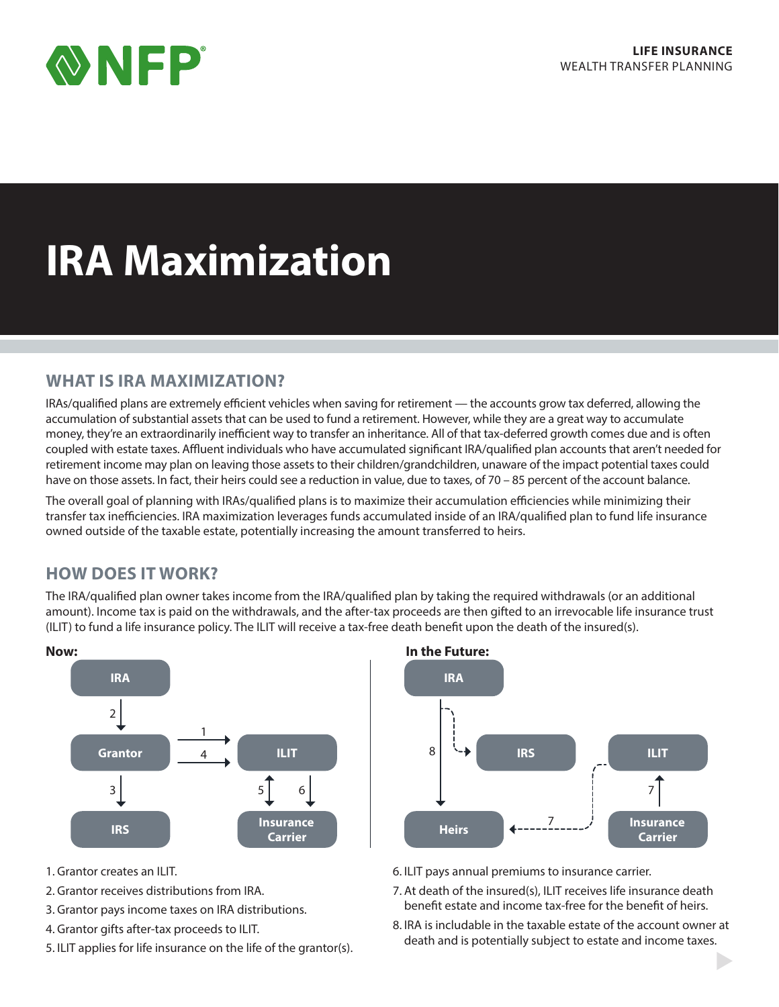

# **IRA Maximization**

## **WHAT IS IRA MAXIMIZATION?**

IRAs/qualified plans are extremely efficient vehicles when saving for retirement — the accounts grow tax deferred, allowing the accumulation of substantial assets that can be used to fund a retirement. However, while they are a great way to accumulate money, they're an extraordinarily inefficient way to transfer an inheritance. All of that tax-deferred growth comes due and is often coupled with estate taxes. Affluent individuals who have accumulated significant IRA/qualified plan accounts that aren't needed for retirement income may plan on leaving those assets to their children/grandchildren, unaware of the impact potential taxes could have on those assets. In fact, their heirs could see a reduction in value, due to taxes, of 70 – 85 percent of the account balance.

The overall goal of planning with IRAs/qualified plans is to maximize their accumulation efficiencies while minimizing their transfer tax inefficiencies. IRA maximization leverages funds accumulated inside of an IRA/qualified plan to fund life insurance owned outside of the taxable estate, potentially increasing the amount transferred to heirs.

# **HOW DOES IT WORK?**

The IRA/qualified plan owner takes income from the IRA/qualified plan by taking the required withdrawals (or an additional amount). Income tax is paid on the withdrawals, and the after-tax proceeds are then gifted to an irrevocable life insurance trust (ILIT) to fund a life insurance policy. The ILIT will receive a tax-free death benefit upon the death of the insured(s).



- 1. Grantor creates an ILIT.
- 2. Grantor receives distributions from IRA.
- 3. Grantor pays income taxes on IRA distributions.
- 4. Grantor gifts after-tax proceeds to ILIT.
- 5. ILIT applies for life insurance on the life of the grantor(s).



- 6. ILIT pays annual premiums to insurance carrier.
- 7. At death of the insured(s), ILIT receives life insurance death benefit estate and income tax-free for the benefit of heirs.
- 8. IRA is includable in the taxable estate of the account owner at death and is potentially subject to estate and income taxes.